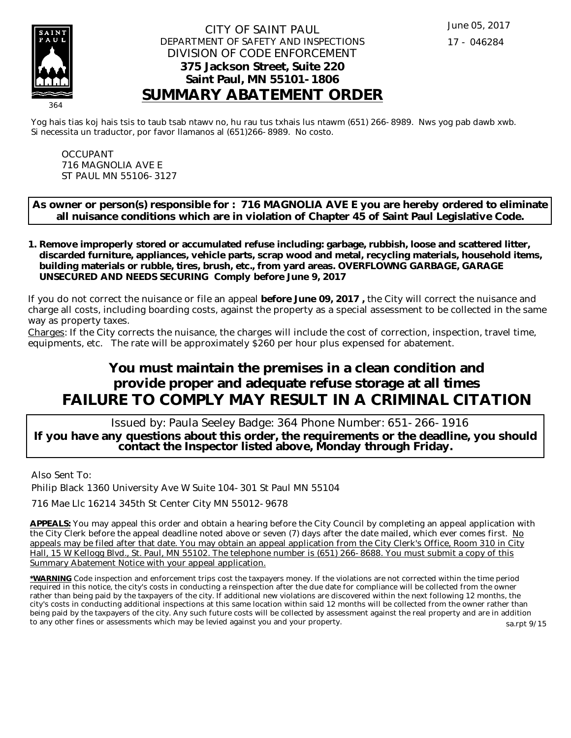

### CITY OF SAINT PAUL DEPARTMENT OF SAFETY AND INSPECTIONS DIVISION OF CODE ENFORCEMENT **375 Jackson Street, Suite 220 Saint Paul, MN 55101-1806 SUMMARY ABATEMENT ORDER**

Yog hais tias koj hais tsis to taub tsab ntawv no, hu rau tus txhais lus ntawm (651) 266-8989. Nws yog pab dawb xwb. Si necessita un traductor, por favor llamanos al (651)266-8989. No costo.

OCCUPANT 716 MAGNOLIA AVE E ST PAUL MN 55106-3127

**As owner or person(s) responsible for : 716 MAGNOLIA AVE E you are hereby ordered to eliminate all nuisance conditions which are in violation of Chapter 45 of Saint Paul Legislative Code.**

**Remove improperly stored or accumulated refuse including: garbage, rubbish, loose and scattered litter, 1. discarded furniture, appliances, vehicle parts, scrap wood and metal, recycling materials, household items, building materials or rubble, tires, brush, etc., from yard areas. OVERFLOWNG GARBAGE, GARAGE UNSECURED AND NEEDS SECURING Comply before June 9, 2017**

If you do not correct the nuisance or file an appeal **before June 09, 2017 ,** the City will correct the nuisance and charge all costs, including boarding costs, against the property as a special assessment to be collected in the same way as property taxes.

Charges: If the City corrects the nuisance, the charges will include the cost of correction, inspection, travel time, equipments, etc. The rate will be approximately \$260 per hour plus expensed for abatement.

# **You must maintain the premises in a clean condition and provide proper and adequate refuse storage at all times FAILURE TO COMPLY MAY RESULT IN A CRIMINAL CITATION**

 Issued by: Paula Seeley Badge: 364 Phone Number: 651-266-1916 **If you have any questions about this order, the requirements or the deadline, you should contact the Inspector listed above, Monday through Friday.**

Also Sent To:

Philip Black 1360 University Ave W Suite 104-301 St Paul MN 55104

716 Mae Llc 16214 345th St Center City MN 55012-9678

**APPEALS:** You may appeal this order and obtain a hearing before the City Council by completing an appeal application with the City Clerk before the appeal deadline noted above or seven (7) days after the date mailed, which ever comes first. No appeals may be filed after that date. You may obtain an appeal application from the City Clerk's Office, Room 310 in City Hall, 15 W Kellogg Blvd., St. Paul, MN 55102. The telephone number is (651) 266-8688. You must submit a copy of this Summary Abatement Notice with your appeal application.

**\*WARNING** Code inspection and enforcement trips cost the taxpayers money. If the violations are not corrected within the time period required in this notice, the city's costs in conducting a reinspection after the due date for compliance will be collected from the owner rather than being paid by the taxpayers of the city. If additional new violations are discovered within the next following 12 months, the city's costs in conducting additional inspections at this same location within said 12 months will be collected from the owner rather than being paid by the taxpayers of the city. Any such future costs will be collected by assessment against the real property and are in addition to any other fines or assessments which may be levied against you and your property. sa.rpt 9/15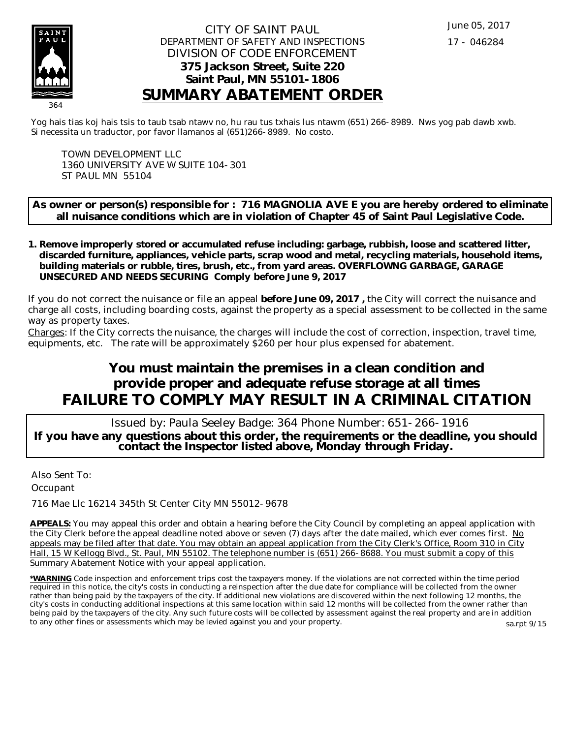

### CITY OF SAINT PAUL DEPARTMENT OF SAFETY AND INSPECTIONS DIVISION OF CODE ENFORCEMENT **375 Jackson Street, Suite 220 Saint Paul, MN 55101-1806 SUMMARY ABATEMENT ORDER**

Yog hais tias koj hais tsis to taub tsab ntawv no, hu rau tus txhais lus ntawm (651) 266-8989. Nws yog pab dawb xwb. Si necessita un traductor, por favor llamanos al (651)266-8989. No costo.

TOWN DEVELOPMENT LLC 1360 UNIVERSITY AVE W SUITE 104-301 ST PAUL MN 55104

**As owner or person(s) responsible for : 716 MAGNOLIA AVE E you are hereby ordered to eliminate all nuisance conditions which are in violation of Chapter 45 of Saint Paul Legislative Code.**

**Remove improperly stored or accumulated refuse including: garbage, rubbish, loose and scattered litter, 1. discarded furniture, appliances, vehicle parts, scrap wood and metal, recycling materials, household items, building materials or rubble, tires, brush, etc., from yard areas. OVERFLOWNG GARBAGE, GARAGE UNSECURED AND NEEDS SECURING Comply before June 9, 2017**

If you do not correct the nuisance or file an appeal **before June 09, 2017 ,** the City will correct the nuisance and charge all costs, including boarding costs, against the property as a special assessment to be collected in the same way as property taxes.

Charges: If the City corrects the nuisance, the charges will include the cost of correction, inspection, travel time, equipments, etc. The rate will be approximately \$260 per hour plus expensed for abatement.

# **You must maintain the premises in a clean condition and provide proper and adequate refuse storage at all times FAILURE TO COMPLY MAY RESULT IN A CRIMINAL CITATION**

 Issued by: Paula Seeley Badge: 364 Phone Number: 651-266-1916 **If you have any questions about this order, the requirements or the deadline, you should contact the Inspector listed above, Monday through Friday.**

Also Sent To: **Occupant** 

716 Mae Llc 16214 345th St Center City MN 55012-9678

**APPEALS:** You may appeal this order and obtain a hearing before the City Council by completing an appeal application with the City Clerk before the appeal deadline noted above or seven (7) days after the date mailed, which ever comes first. No appeals may be filed after that date. You may obtain an appeal application from the City Clerk's Office, Room 310 in City Hall, 15 W Kellogg Blvd., St. Paul, MN 55102. The telephone number is (651) 266-8688. You must submit a copy of this Summary Abatement Notice with your appeal application.

**\*WARNING** Code inspection and enforcement trips cost the taxpayers money. If the violations are not corrected within the time period required in this notice, the city's costs in conducting a reinspection after the due date for compliance will be collected from the owner rather than being paid by the taxpayers of the city. If additional new violations are discovered within the next following 12 months, the city's costs in conducting additional inspections at this same location within said 12 months will be collected from the owner rather than being paid by the taxpayers of the city. Any such future costs will be collected by assessment against the real property and are in addition to any other fines or assessments which may be levied against you and your property. sa.rpt 9/15